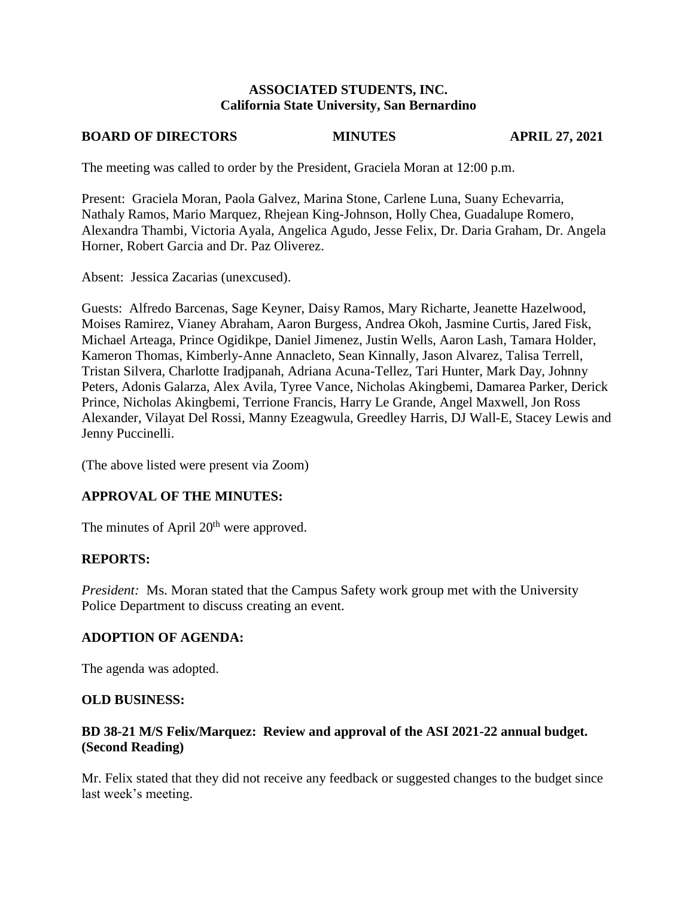#### **ASSOCIATED STUDENTS, INC. California State University, San Bernardino**

#### **BOARD OF DIRECTORS MINUTES APRIL 27, 2021**

The meeting was called to order by the President, Graciela Moran at 12:00 p.m.

Present: Graciela Moran, Paola Galvez, Marina Stone, Carlene Luna, Suany Echevarria, Nathaly Ramos, Mario Marquez, Rhejean King-Johnson, Holly Chea, Guadalupe Romero, Alexandra Thambi, Victoria Ayala, Angelica Agudo, Jesse Felix, Dr. Daria Graham, Dr. Angela Horner, Robert Garcia and Dr. Paz Oliverez.

Absent: Jessica Zacarias (unexcused).

Guests: Alfredo Barcenas, Sage Keyner, Daisy Ramos, Mary Richarte, Jeanette Hazelwood, Moises Ramirez, Vianey Abraham, Aaron Burgess, Andrea Okoh, Jasmine Curtis, Jared Fisk, Michael Arteaga, Prince Ogidikpe, Daniel Jimenez, Justin Wells, Aaron Lash, Tamara Holder, Kameron Thomas, Kimberly-Anne Annacleto, Sean Kinnally, Jason Alvarez, Talisa Terrell, Tristan Silvera, Charlotte Iradjpanah, Adriana Acuna-Tellez, Tari Hunter, Mark Day, Johnny Peters, Adonis Galarza, Alex Avila, Tyree Vance, Nicholas Akingbemi, Damarea Parker, Derick Prince, Nicholas Akingbemi, Terrione Francis, Harry Le Grande, Angel Maxwell, Jon Ross Alexander, Vilayat Del Rossi, Manny Ezeagwula, Greedley Harris, DJ Wall-E, Stacey Lewis and Jenny Puccinelli.

(The above listed were present via Zoom)

## **APPROVAL OF THE MINUTES:**

The minutes of April 20<sup>th</sup> were approved.

## **REPORTS:**

*President:* Ms. Moran stated that the Campus Safety work group met with the University Police Department to discuss creating an event.

## **ADOPTION OF AGENDA:**

The agenda was adopted.

#### **OLD BUSINESS:**

## **BD 38-21 M/S Felix/Marquez: Review and approval of the ASI 2021-22 annual budget. (Second Reading)**

Mr. Felix stated that they did not receive any feedback or suggested changes to the budget since last week's meeting.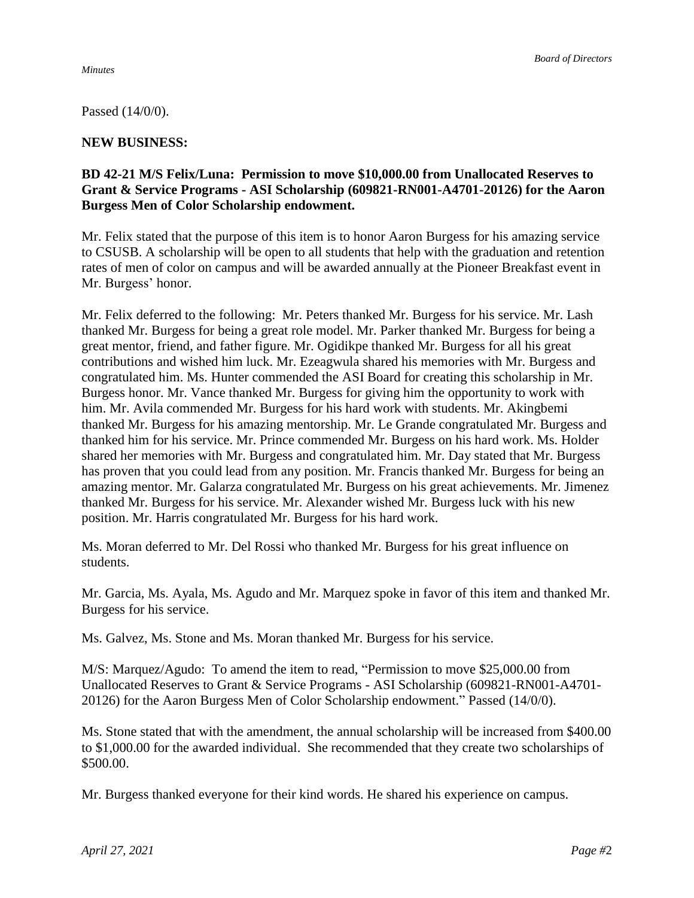*Minutes*

Passed (14/0/0).

### **NEW BUSINESS:**

## **BD 42-21 M/S Felix/Luna: Permission to move \$10,000.00 from Unallocated Reserves to Grant & Service Programs - ASI Scholarship (609821-RN001-A4701-20126) for the Aaron Burgess Men of Color Scholarship endowment.**

Mr. Felix stated that the purpose of this item is to honor Aaron Burgess for his amazing service to CSUSB. A scholarship will be open to all students that help with the graduation and retention rates of men of color on campus and will be awarded annually at the Pioneer Breakfast event in Mr. Burgess' honor.

Mr. Felix deferred to the following: Mr. Peters thanked Mr. Burgess for his service. Mr. Lash thanked Mr. Burgess for being a great role model. Mr. Parker thanked Mr. Burgess for being a great mentor, friend, and father figure. Mr. Ogidikpe thanked Mr. Burgess for all his great contributions and wished him luck. Mr. Ezeagwula shared his memories with Mr. Burgess and congratulated him. Ms. Hunter commended the ASI Board for creating this scholarship in Mr. Burgess honor. Mr. Vance thanked Mr. Burgess for giving him the opportunity to work with him. Mr. Avila commended Mr. Burgess for his hard work with students. Mr. Akingbemi thanked Mr. Burgess for his amazing mentorship. Mr. Le Grande congratulated Mr. Burgess and thanked him for his service. Mr. Prince commended Mr. Burgess on his hard work. Ms. Holder shared her memories with Mr. Burgess and congratulated him. Mr. Day stated that Mr. Burgess has proven that you could lead from any position. Mr. Francis thanked Mr. Burgess for being an amazing mentor. Mr. Galarza congratulated Mr. Burgess on his great achievements. Mr. Jimenez thanked Mr. Burgess for his service. Mr. Alexander wished Mr. Burgess luck with his new position. Mr. Harris congratulated Mr. Burgess for his hard work.

Ms. Moran deferred to Mr. Del Rossi who thanked Mr. Burgess for his great influence on students.

Mr. Garcia, Ms. Ayala, Ms. Agudo and Mr. Marquez spoke in favor of this item and thanked Mr. Burgess for his service.

Ms. Galvez, Ms. Stone and Ms. Moran thanked Mr. Burgess for his service.

M/S: Marquez/Agudo: To amend the item to read, "Permission to move \$25,000.00 from Unallocated Reserves to Grant & Service Programs - ASI Scholarship (609821-RN001-A4701- 20126) for the Aaron Burgess Men of Color Scholarship endowment." Passed (14/0/0).

Ms. Stone stated that with the amendment, the annual scholarship will be increased from \$400.00 to \$1,000.00 for the awarded individual. She recommended that they create two scholarships of \$500.00.

Mr. Burgess thanked everyone for their kind words. He shared his experience on campus.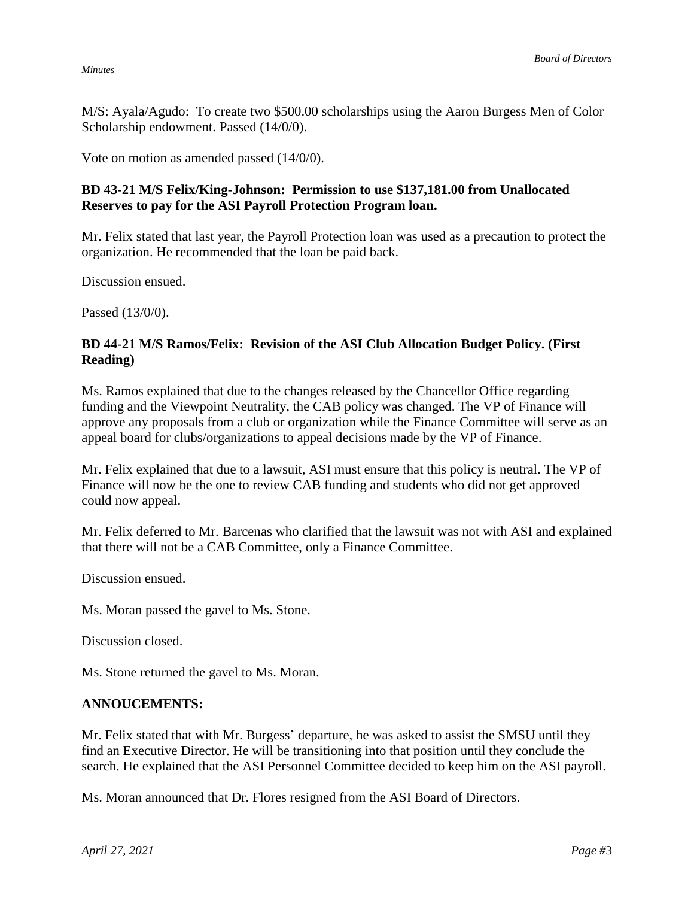#### *Minutes*

M/S: Ayala/Agudo: To create two \$500.00 scholarships using the Aaron Burgess Men of Color Scholarship endowment. Passed (14/0/0).

Vote on motion as amended passed (14/0/0).

## **BD 43-21 M/S Felix/King-Johnson: Permission to use \$137,181.00 from Unallocated Reserves to pay for the ASI Payroll Protection Program loan.**

Mr. Felix stated that last year, the Payroll Protection loan was used as a precaution to protect the organization. He recommended that the loan be paid back.

Discussion ensued.

Passed (13/0/0).

## **BD 44-21 M/S Ramos/Felix: Revision of the ASI Club Allocation Budget Policy. (First Reading)**

Ms. Ramos explained that due to the changes released by the Chancellor Office regarding funding and the Viewpoint Neutrality, the CAB policy was changed. The VP of Finance will approve any proposals from a club or organization while the Finance Committee will serve as an appeal board for clubs/organizations to appeal decisions made by the VP of Finance.

Mr. Felix explained that due to a lawsuit, ASI must ensure that this policy is neutral. The VP of Finance will now be the one to review CAB funding and students who did not get approved could now appeal.

Mr. Felix deferred to Mr. Barcenas who clarified that the lawsuit was not with ASI and explained that there will not be a CAB Committee, only a Finance Committee.

Discussion ensued.

Ms. Moran passed the gavel to Ms. Stone.

Discussion closed.

Ms. Stone returned the gavel to Ms. Moran.

#### **ANNOUCEMENTS:**

Mr. Felix stated that with Mr. Burgess' departure, he was asked to assist the SMSU until they find an Executive Director. He will be transitioning into that position until they conclude the search. He explained that the ASI Personnel Committee decided to keep him on the ASI payroll.

Ms. Moran announced that Dr. Flores resigned from the ASI Board of Directors.